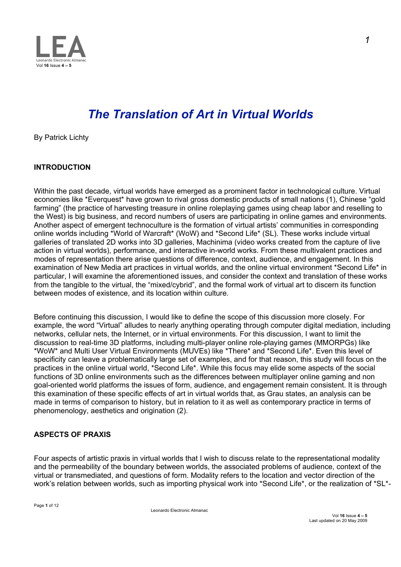

# *The Translation of Art in Virtual Worlds*

By Patrick Lichty

## **INTRODUCTION**

Within the past decade, virtual worlds have emerged as a prominent factor in technological culture. Virtual economies like \*Everquest\* have grown to rival gross domestic products of small nations (1), Chinese "gold farming" (the practice of harvesting treasure in online roleplaying games using cheap labor and reselling to the West) is big business, and record numbers of users are participating in online games and environments. Another aspect of emergent technoculture is the formation of virtual artists' communities in corresponding online worlds including \*World of Warcraft\* (WoW) and \*Second Life\* (SL). These works include virtual galleries of translated 2D works into 3D galleries, Machinima (video works created from the capture of live action in virtual worlds), performance, and interactive in-world works. From these multivalent practices and modes of representation there arise questions of difference, context, audience, and engagement. In this examination of New Media art practices in virtual worlds, and the online virtual environment \*Second Life\* in particular, I will examine the aforementioned issues, and consider the context and translation of these works from the tangible to the virtual, the "mixed/cybrid", and the formal work of virtual art to discern its function between modes of existence, and its location within culture.

Before continuing this discussion, I would like to define the scope of this discussion more closely. For example, the word "Virtual" alludes to nearly anything operating through computer digital mediation, including networks, cellular nets, the Internet, or in virtual environments. For this discussion, I want to limit the discussion to real-time 3D platforms, including multi-player online role-playing games (MMORPGs) like \*WoW\* and Multi User Virtual Environments (MUVEs) like \*There\* and \*Second Life\*. Even this level of specificity can leave a problematically large set of examples, and for that reason, this study will focus on the practices in the online virtual world, \*Second Life\*. While this focus may elide some aspects of the social functions of 3D online environments such as the differences between multiplayer online gaming and non goal-oriented world platforms the issues of form, audience, and engagement remain consistent. It is through this examination of these specific effects of art in virtual worlds that, as Grau states, an analysis can be made in terms of comparison to history, but in relation to it as well as contemporary practice in terms of phenomenology, aesthetics and origination (2).

## **ASPECTS OF PRAXIS**

Four aspects of artistic praxis in virtual worlds that I wish to discuss relate to the representational modality and the permeability of the boundary between worlds, the associated problems of audience, context of the virtual or transmediated, and questions of form. Modality refers to the location and vector direction of the work's relation between worlds, such as importing physical work into \*Second Life\*, or the realization of \*SL\*-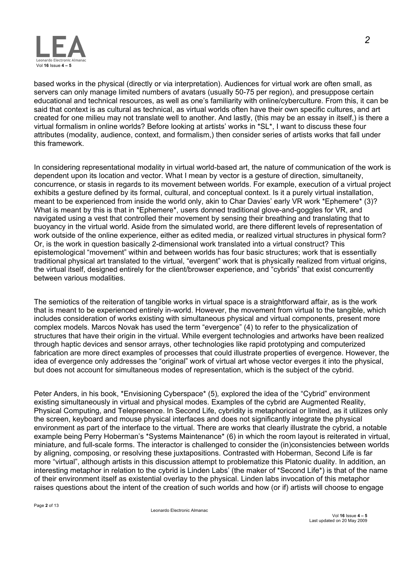

based works in the physical (directly or via interpretation). Audiences for virtual work are often small, as servers can only manage limited numbers of avatars (usually 50-75 per region), and presuppose certain educational and technical resources, as well as one's familiarity with online/cyberculture. From this, it can be said that context is as cultural as technical, as virtual worlds often have their own specific cultures, and art created for one milieu may not translate well to another. And lastly, (this may be an essay in itself,) is there a virtual formalism in online worlds? Before looking at artists' works in \*SL\*, I want to discuss these four attributes (modality, audience, context, and formalism,) then consider series of artists works that fall under this framework.

In considering representational modality in virtual world-based art, the nature of communication of the work is dependent upon its location and vector. What I mean by vector is a gesture of direction, simultaneity, concurrence, or stasis in regards to its movement between worlds. For example, execution of a virtual project exhibits a gesture defined by its formal, cultural, and conceptual context. Is it a purely virtual installation, meant to be experienced from inside the world only, akin to Char Davies' early VR work \*Ephemere\* (3)? What is meant by this is that in \*Ephemere\*, users donned traditional glove-and-goggles for VR, and navigated using a vest that controlled their movement by sensing their breathing and translating that to buoyancy in the virtual world. Aside from the simulated world, are there different levels of representation of work outside of the online experience, either as edited media, or realized virtual structures in physical form? Or, is the work in question basically 2-dimensional work translated into a virtual construct? This epistemological "movement" within and between worlds has four basic structures; work that is essentially traditional physical art translated to the virtual, "evergent" work that is physically realized from virtual origins, the virtual itself, designed entirely for the client/browser experience, and "cybrids" that exist concurrently between various modalities.

The semiotics of the reiteration of tangible works in virtual space is a straightforward affair, as is the work that is meant to be experienced entirely in-world. However, the movement from virtual to the tangible, which includes consideration of works existing with simultaneous physical and virtual components, present more complex models. Marcos Novak has used the term "evergence" (4) to refer to the physicalization of structures that have their origin in the virtual. While evergent technologies and artworks have been realized through haptic devices and sensor arrays, other technologies like rapid prototyping and computerized fabrication are more direct examples of processes that could illustrate properties of evergence. However, the idea of evergence only addresses the "original" work of virtual art whose vector everges it into the physical, but does not account for simultaneous modes of representation, which is the subject of the cybrid.

Peter Anders, in his book, \*Envisioning Cyberspace\* (5)*,* explored the idea of the "Cybrid" environment existing simultaneously in virtual and physical modes. Examples of the cybrid are Augmented Reality, Physical Computing, and Telepresence. In Second Life, cybridity is metaphorical or limited, as it utilizes only the screen, keyboard and mouse physical interfaces and does not significantly integrate the physical environment as part of the interface to the virtual. There are works that clearly illustrate the cybrid, a notable example being Perry Hoberman's \*Systems Maintenance\* (6) in which the room layout is reiterated in virtual, miniature, and full-scale forms. The interactor is challenged to consider the (in)consistencies between worlds by aligning, composing, or resolving these juxtapositions. Contrasted with Hoberman, Second Life is far more "virtual", although artists in this discussion attempt to problematize this Platonic duality. In addition, an interesting metaphor in relation to the cybrid is Linden Labs' (the maker of \*Second Life\*) is that of the name of their environment itself as existential overlay to the physical. Linden labs invocation of this metaphor raises questions about the intent of the creation of such worlds and how (or if) artists will choose to engage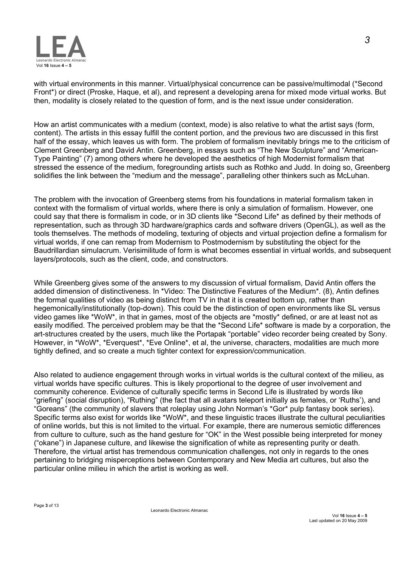

with virtual environments in this manner. Virtual/physical concurrence can be passive/multimodal (\*Second Front\*) or direct (Proske, Haque, et al), and represent a developing arena for mixed mode virtual works. But then, modality is closely related to the question of form, and is the next issue under consideration.

How an artist communicates with a medium (context, mode) is also relative to what the artist says (form, content). The artists in this essay fulfill the content portion, and the previous two are discussed in this first half of the essay, which leaves us with form. The problem of formalism inevitably brings me to the criticism of Clement Greenberg and David Antin. Greenberg, in essays such as "The New Sculpture" and "American-Type Painting" (7) among others where he developed the aesthetics of high Modernist formalism that stressed the essence of the medium, foregrounding artists such as Rothko and Judd. In doing so, Greenberg solidifies the link between the "medium and the message", paralleling other thinkers such as McLuhan.

The problem with the invocation of Greenberg stems from his foundations in material formalism taken in context with the formalism of virtual worlds, where there is only a simulation of formalism. However, one could say that there is formalism in code, or in 3D clients like \*Second Life\* as defined by their methods of representation, such as through 3D hardware/graphics cards and software drivers (OpenGL), as well as the tools themselves. The methods of modeling, texturing of objects and virtual projection define a formalism for virtual worlds, if one can remap from Modernism to Postmodernism by substituting the object for the Baudrillardian simulacrum. Verisimilitude of form is what becomes essential in virtual worlds, and subsequent layers/protocols, such as the client, code, and constructors.

While Greenberg gives some of the answers to my discussion of virtual formalism, David Antin offers the added dimension of distinctiveness. In \*Video: The Distinctive Features of the Medium\**.* (8), Antin defines the formal qualities of video as being distinct from TV in that it is created bottom up, rather than hegemonically/institutionally (top-down). This could be the distinction of open environments like SL versus video games like \*WoW\*, in that in games, most of the objects are \*mostly\* defined, or are at least not as easily modified. The perceived problem may be that the \*Second Life\* software is made by a corporation, the art-structures created by the users, much like the Portapak "portable" video recorder being created by Sony. However, in \*WoW\*, \*Everquest\*, \*Eve Online\*, et al, the universe, characters, modalities are much more tightly defined, and so create a much tighter context for expression/communication.

Also related to audience engagement through works in virtual worlds is the cultural context of the milieu, as virtual worlds have specific cultures. This is likely proportional to the degree of user involvement and community coherence. Evidence of culturally specific terms in Second Life is illustrated by words like "griefing" (social disruption), "Ruthing" (the fact that all avatars teleport initially as females, or 'Ruths'), and "Goreans" (the community of slavers that roleplay using John Norman's \*Gor\* pulp fantasy book series). Specific terms also exist for worlds like \*WoW\*, and these linguistic traces illustrate the cultural peculiarities of online worlds, but this is not limited to the virtual. For example, there are numerous semiotic differences from culture to culture, such as the hand gesture for "OK" in the West possible being interpreted for money ("okane") in Japanese culture, and likewise the signification of white as representing purity or death. Therefore, the virtual artist has tremendous communication challenges, not only in regards to the ones pertaining to bridging misperceptions between Contemporary and New Media art cultures, but also the particular online milieu in which the artist is working as well.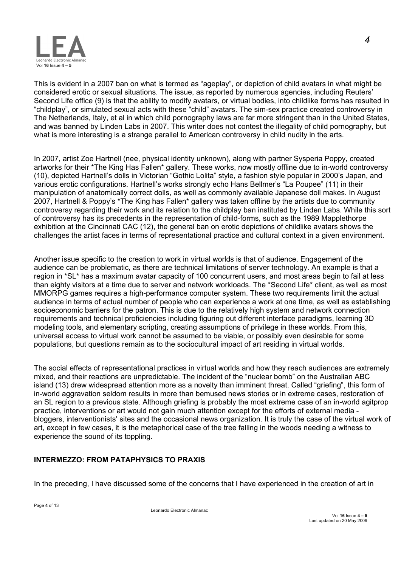

This is evident in a 2007 ban on what is termed as "ageplay", or depiction of child avatars in what might be considered erotic or sexual situations. The issue, as reported by numerous agencies, including Reuters' Second Life office (9) is that the ability to modify avatars, or virtual bodies, into childlike forms has resulted in "childplay", or simulated sexual acts with these "child" avatars. The sim-sex practice created controversy in The Netherlands, Italy, et al in which child pornography laws are far more stringent than in the United States, and was banned by Linden Labs in 2007. This writer does not contest the illegality of child pornography, but what is more interesting is a strange parallel to American controversy in child nudity in the arts.

In 2007, artist Zoe Hartnell (nee, physical identity unknown), along with partner Sysperia Poppy, created artworks for their \*The King Has Fallen\* gallery. These works, now mostly offline due to in-world controversy (10), depicted Hartnell's dolls in Victorian "Gothic Lolita" style, a fashion style popular in 2000's Japan, and various erotic configurations. Hartnell's works strongly echo Hans Bellmer's "La Poupee" (11) in their manipulation of anatomically correct dolls, as well as commonly available Japanese doll makes. In August 2007, Hartnell & Poppy's \*The King has Fallen\* gallery was taken offline by the artists due to community controversy regarding their work and its relation to the childplay ban instituted by Linden Labs. While this sort of controversy has its precedents in the representation of child-forms, such as the 1989 Mapplethorpe exhibition at the Cincinnati CAC (12), the general ban on erotic depictions of childlike avatars shows the challenges the artist faces in terms of representational practice and cultural context in a given environment.

Another issue specific to the creation to work in virtual worlds is that of audience. Engagement of the audience can be problematic, as there are technical limitations of server technology. An example is that a region in \*SL\* has a maximum avatar capacity of 100 concurrent users, and most areas begin to fail at less than eighty visitors at a time due to server and network workloads. The \*Second Life\* client, as well as most MMORPG games requires a high-performance computer system. These two requirements limit the actual audience in terms of actual number of people who can experience a work at one time, as well as establishing socioeconomic barriers for the patron. This is due to the relatively high system and network connection requirements and technical proficiencies including figuring out different interface paradigms, learning 3D modeling tools, and elementary scripting, creating assumptions of privilege in these worlds. From this, universal access to virtual work cannot be assumed to be viable, or possibly even desirable for some populations, but questions remain as to the sociocultural impact of art residing in virtual worlds.

The social effects of representational practices in virtual worlds and how they reach audiences are extremely mixed, and their reactions are unpredictable. The incident of the "nuclear bomb" on the Australian ABC island (13) drew widespread attention more as a novelty than imminent threat. Called "griefing", this form of in-world aggravation seldom results in more than bemused news stories or in extreme cases, restoration of an SL region to a previous state. Although griefing is probably the most extreme case of an in-world agitprop practice, interventions or art would not gain much attention except for the efforts of external media bloggers, interventionists' sites and the occasional news organization. It is truly the case of the virtual work of art, except in few cases, it is the metaphorical case of the tree falling in the woods needing a witness to experience the sound of its toppling.

## **INTERMEZZO: FROM PATAPHYSICS TO PRAXIS**

In the preceding, I have discussed some of the concerns that I have experienced in the creation of art in

*4*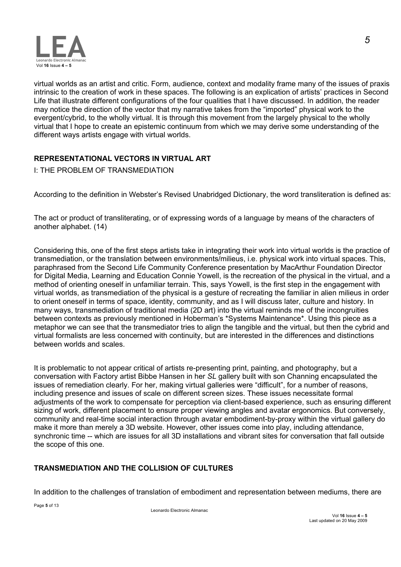

virtual worlds as an artist and critic. Form, audience, context and modality frame many of the issues of praxis intrinsic to the creation of work in these spaces. The following is an explication of artists' practices in Second Life that illustrate different configurations of the four qualities that I have discussed. In addition, the reader may notice the direction of the vector that my narrative takes from the "imported" physical work to the evergent/cybrid, to the wholly virtual. It is through this movement from the largely physical to the wholly virtual that I hope to create an epistemic continuum from which we may derive some understanding of the different ways artists engage with virtual worlds.

## **REPRESENTATIONAL VECTORS IN VIRTUAL ART**

## I: THE PROBLEM OF TRANSMEDIATION

According to the definition in Webster's Revised Unabridged Dictionary, the word transliteration is defined as:

The act or product of transliterating, or of expressing words of a language by means of the characters of another alphabet. (14)

Considering this, one of the first steps artists take in integrating their work into virtual worlds is the practice of transmediation, or the translation between environments/milieus, i.e. physical work into virtual spaces. This, paraphrased from the Second Life Community Conference presentation by MacArthur Foundation Director for Digital Media, Learning and Education Connie Yowell, is the recreation of the physical in the virtual, and a method of orienting oneself in unfamiliar terrain. This, says Yowell, is the first step in the engagement with virtual worlds, as transmediation of the physical is a gesture of recreating the familiar in alien milieus in order to orient oneself in terms of space, identity, community, and as I will discuss later, culture and history. In many ways, transmediation of traditional media (2D art) into the virtual reminds me of the incongruities between contexts as previously mentioned in Hoberman's \*Systems Maintenance\*. Using this piece as a metaphor we can see that the transmediator tries to align the tangible and the virtual, but then the cybrid and virtual formalists are less concerned with continuity, but are interested in the differences and distinctions between worlds and scales.

It is problematic to not appear critical of artists re-presenting print, painting, and photography, but a conversation with Factory artist Bibbe Hansen in her *SL* gallery built with son Channing encapsulated the issues of remediation clearly. For her, making virtual galleries were "difficult", for a number of reasons, including presence and issues of scale on different screen sizes. These issues necessitate formal adjustments of the work to compensate for perception via client-based experience, such as ensuring different sizing of work, different placement to ensure proper viewing angles and avatar ergonomics. But conversely, community and real-time social interaction through avatar embodiment-by-proxy within the virtual gallery do make it more than merely a 3D website. However, other issues come into play, including attendance, synchronic time -- which are issues for all 3D installations and vibrant sites for conversation that fall outside the scope of this one.

## **TRANSMEDIATION AND THE COLLISION OF CULTURES**

In addition to the challenges of translation of embodiment and representation between mediums, there are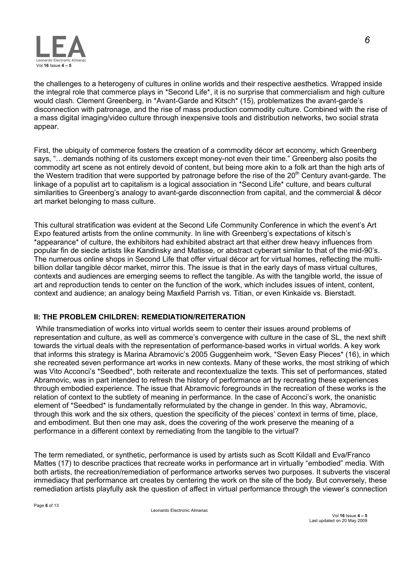

the challenges to a heterogeny of cultures in online worlds and their respective aesthetics. Wrapped inside the integral role that commerce plays in \*Second Life\*, it is no surprise that commercialism and high culture would clash. Clement Greenberg, in \*Avant-Garde and Kitsch\* (15)*,* problematizes the avant-garde's disconnection with patronage, and the rise of mass production commodity culture. Combined with the rise of a mass digital imaging/video culture through inexpensive tools and distribution networks, two social strata appear.

First, the ubiquity of commerce fosters the creation of a commodity décor art economy, which Greenberg says, "…demands nothing of its customers except money-not even their time." Greenberg also posits the commodity art scene as not entirely devoid of content, but being more akin to a folk art than the high arts of the Western tradition that were supported by patronage before the rise of the 20<sup>th</sup> Century avant-garde. The linkage of a populist art to capitalism is a logical association in \*Second Life\* culture, and bears cultural similarities to Greenberg's analogy to avant-garde disconnection from capital, and the commercial & décor art market belonging to mass culture.

This cultural stratification was evident at the Second Life Community Conference in which the event's Art Expo featured artists from the online community. In line with Greenberg's expectations of kitsch's \*appearance\* of culture, the exhibitors had exhibited abstract art that either drew heavy influences from popular fin de siecle artists like Kandinsky and Matisse, or abstract cyberart similar to that of the mid-90's. The numerous online shops in Second Life that offer virtual décor art for virtual homes, reflecting the multibillion dollar tangible décor market, mirror this. The issue is that in the early days of mass virtual cultures, contexts and audiences are emerging seems to reflect the tangible. As with the tangible world, the issue of art and reproduction tends to center on the function of the work, which includes issues of intent, content, context and audience; an analogy being Maxfield Parrish vs. Titian, or even Kinkaide vs. Bierstadt.

## **II: THE PROBLEM CHILDREN: REMEDIATION/REITERATION**

While transmediation of works into virtual worlds seem to center their issues around problems of representation and culture, as well as commerce's convergence with culture in the case of SL, the next shift towards the virtual deals with the representation of performance-based works in virtual worlds. A key work that informs this strategy is Marina Abramovic's 2005 Guggenheim work, \*Seven Easy Pieces\* (16), in which she recreated seven performance art works in new contexts. Many of these works, the most striking of which was Vito Acconci's \*Seedbed\*, both reiterate and recontextualize the texts. This set of performances, stated Abramovic, was in part intended to refresh the history of performance art by recreating these experiences through embodied experience. The issue that Abramovic foregrounds in the recreation of these works is the relation of context to the subtlety of meaning in performance. In the case of Acconci's work, the onanistic element of \*Seedbed\* is fundamentally reformulated by the change in gender. In this way, Abramovic, through this work and the six others, question the specificity of the pieces' context in terms of time, place, and embodiment. But then one may ask, does the covering of the work preserve the meaning of a performance in a different context by remediating from the tangible to the virtual?

The term remediated, or synthetic, performance is used by artists such as Scott Kildall and Eva/Franco Mattes (17) to describe practices that recreate works in performance art in virtually "embodied" media. With both artists, the recreation/remediation of performance artworks serves two purposes. It subverts the visceral immediacy that performance art creates by centering the work on the site of the body. But conversely, these remediation artists playfully ask the question of affect in virtual performance through the viewer's connection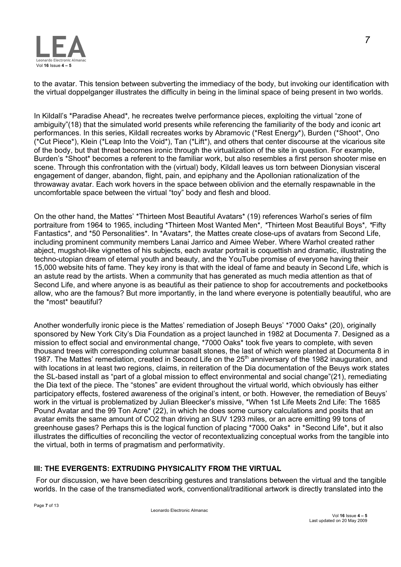

to the avatar. This tension between subverting the immediacy of the body, but invoking our identification with the virtual doppelganger illustrates the difficulty in being in the liminal space of being present in two worlds.

In Kildall's \*Paradise Ahead\**,* he recreates twelve performance pieces, exploiting the virtual "zone of ambiguity"(18) that the simulated world presents while referencing the familiarity of the body and iconic art performances. In this series, Kildall recreates works by Abramovic (\*Rest Energ*y*\*), Burden (\*Shoot\*, Ono (\*Cut Piece\*), Klein (\*Leap Into the Void\*), Tan (\*Lift\*), and others that center discourse at the vicarious site of the body, but that threat becomes ironic through the virtualization of the site in question. For example, Burden's \*Shoot\* becomes a referent to the familiar work, but also resembles a first person shooter mise en scene. Through this confrontation with the (virtual) body, Kildall leaves us torn between Dionysian visceral engagement of danger, abandon, flight, pain, and epiphany and the Apollonian rationalization of the throwaway avatar. Each work hovers in the space between oblivion and the eternally respawnable in the uncomfortable space between the virtual "toy" body and flesh and blood.

On the other hand, the Mattes' \*Thirteen Most Beautiful Avatars\* (19) references Warhol's series of film portraiture from 1964 to 1965, including \*Thirteen Most Wanted Men\**, \**Thirteen Most Beautiful Boys\**, \**Fifty Fantastics\**,* and \*50 Personalities\**.* In \*Avatars\**,* the Mattes create close-ups of avatars from Second Life, including prominent community members Lanai Jarrico and Aimee Weber. Where Warhol created rather abject, mugshot-like vignettes of his subjects, each avatar portrait is coquettish and dramatic, illustrating the techno-utopian dream of eternal youth and beauty, and the YouTube promise of everyone having their 15,000 website hits of fame. They key irony is that with the ideal of fame and beauty in Second Life, which is an astute read by the artists. When a community that has generated as much media attention as that of Second Life, and where anyone is as beautiful as their patience to shop for accoutrements and pocketbooks allow, who are the famous? But more importantly, in the land where everyone is potentially beautiful, who are the \*most\* beautiful?

Another wonderfully ironic piece is the Mattes' remediation of Joseph Beuys' \*7000 Oaks\* (20), originally sponsored by New York City's Dia Foundation as a project launched in 1982 at Documenta 7. Designed as a mission to effect social and environmental change, \*7000 Oaks\* took five years to complete, with seven thousand trees with corresponding columnar basalt stones, the last of which were planted at Documenta 8 in 1987. The Mattes' remediation, created in Second Life on the 25<sup>th</sup> anniversary of the 1982 inauguration, and with locations in at least two regions, claims, in reiteration of the Dia documentation of the Beuys work states the SL-based install as "part of a global mission to effect environmental and social change"(21), remediating the Dia text of the piece. The "stones" are evident throughout the virtual world, which obviously has either participatory effects, fostered awareness of the original's intent, or both. However, the remediation of Beuys' work in the virtual is problematized by Julian Bleecker's missive, \*When 1st Life Meets 2nd Life: The 1685 Pound Avatar and the 99 Ton Acre\* (22), in which he does some cursory calculations and posits that an avatar emits the same amount of CO2 than driving an SUV 1293 miles, or an acre emitting 99 tons of greenhouse gases? Perhaps this is the logical function of placing \*7000 Oaks\* in \*Second Life\*, but it also illustrates the difficulties of reconciling the vector of recontextualizing conceptual works from the tangible into the virtual, both in terms of pragmatism and performativity.

## **III: THE EVERGENTS: EXTRUDING PHYSICALITY FROM THE VIRTUAL**

For our discussion, we have been describing gestures and translations between the virtual and the tangible worlds. In the case of the transmediated work, conventional/traditional artwork is directly translated into the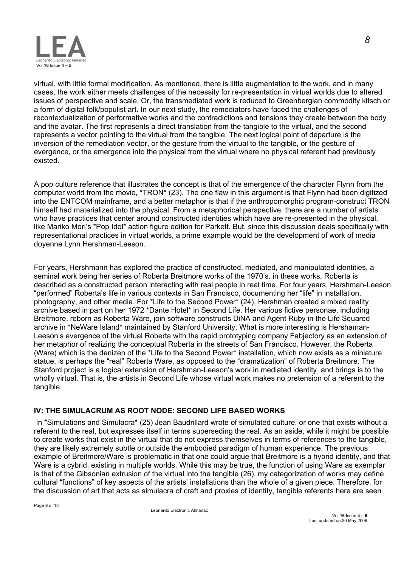

virtual, with little formal modification. As mentioned, there is little augmentation to the work, and in many cases, the work either meets challenges of the necessity for re-presentation in virtual worlds due to altered issues of perspective and scale. Or, the transmediated work is reduced to Greenbergian commodity kitsch or a form of digital folk/populist art. In our next study, the remediators have faced the challenges of recontextualization of performative works and the contradictions and tensions they create between the body and the avatar. The first represents a direct translation from the tangible to the virtual, and the second represents a vector pointing to the virtual from the tangible. The next logical point of departure is the inversion of the remediation vector, or the gesture from the virtual to the tangible, or the gesture of evergence, or the emergence into the physical from the virtual where no physical referent had previously existed.

A pop culture reference that illustrates the concept is that of the emergence of the character Flynn from the computer world from the movie, \*TRON\* (23). The one flaw in this argument is that Flynn had been digitized into the ENTCOM mainframe, and a better metaphor is that if the anthropomorphic program-construct TRON himself had materialized into the physical. From a metaphorical perspective, there are a number of artists who have practices that center around constructed identities which have are re-presented in the physical, like Mariko Mori's \*Pop Idol\* action figure edition for Parkett. But, since this discussion deals specifically with representational practices in virtual worlds, a prime example would be the development of work of media doyenne Lynn Hershman-Leeson.

For years, Hershmann has explored the practice of constructed, mediated, and manipulated identities, a seminal work being her series of Roberta Breitmore works of the 1970's. in these works, Roberta is described as a constructed person interacting with real people in real time. For four years, Hershman-Leeson "performed" Roberta's life in various contexts in San Francisco, documenting her "life" in installation, photography, and other media. For \*Life to the Second Power\* (24), Hershman created a mixed reality archive based in part on her 1972 \*Dante Hotel\* in Second Life. Her various fictive personae, including Breitmore, reborn as Roberta Ware, join software constructs DiNA and Agent Ruby in the Life Squared archive in \*NeWare Island\* maintained by Stanford University. What is more interesting is Hershaman-Leeson's evergence of the virtual Roberta with the rapid prototyping company Fabjectory as an extension of her metaphor of realizing the conceptual Roberta in the streets of San Francisco. However, the Roberta (Ware) which is the denizen of the \*Life to the Second Power\* installation, which now exists as a miniature statue, is perhaps the "real" Roberta Ware, as opposed to the "dramatization" of Roberta Breitmore. The Stanford project is a logical extension of Hershman-Leeson's work in mediated identity, and brings is to the wholly virtual. That is, the artists in Second Life whose virtual work makes no pretension of a referent to the tangible.

## **IV: THE SIMULACRUM AS ROOT NODE: SECOND LIFE BASED WORKS**

In \*Simulations and Simulacra\* (25) Jean Baudrillard wrote of simulated culture, or one that exists without a referent to the real, but expresses itself in terms superseding the real. As an aside, while it might be possible to create works that exist in the virtual that do not express themselves in terms of references to the tangible, they are likely extremely subtle or outside the embodied paradigm of human experience. The previous example of Breitmore/Ware is problematic in that one could argue that Breitmore is a hybrid identity, and that Ware is a cybrid, existing in multiple worlds. While this may be true, the function of using Ware as exemplar is that of the Gibsonian extrusion of the virtual into the tangible (26), my categorization of works may define cultural "functions" of key aspects of the artists' installations than the whole of a given piece. Therefore, for the discussion of art that acts as simulacra of craft and proxies of identity, tangible referents here are seen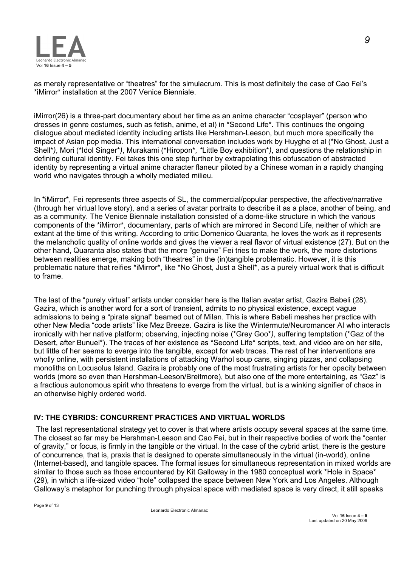

as merely representative or "theatres" for the simulacrum. This is most definitely the case of Cao Fei's \*iMirror\* installation at the 2007 Venice Bienniale.

iMirror(26) is a three-part documentary about her time as an anime character "cosplayer" (person who dresses in genre costumes, such as fetish, anime, et al) in \*Second Life\*. This continues the ongoing dialogue about mediated identity including artists like Hershman-Leeson, but much more specifically the impact of Asian pop media. This international conversation includes work by Huyghe et al (\*No Ghost, Just a Shell\**)*, Mori (\*Idol Singer\**)*, Murakami (\*Hiropon\**, \**Little Boy exhibition\**)*, and questions the relationship in defining cultural identity. Fei takes this one step further by extrapolating this obfuscation of abstracted identity by representing a virtual anime character flaneur piloted by a Chinese woman in a rapidly changing world who navigates through a wholly mediated milieu.

In \*iMirror\*, Fei represents three aspects of SL, the commercial/popular perspective, the affective/narrative (through her virtual love story), and a series of avatar portraits to describe it as a place, another of being, and as a community. The Venice Biennale installation consisted of a dome-like structure in which the various components of the \*iMirror\*, documentary, parts of which are mirrored in Second Life, neither of which are extant at the time of this writing. According to critic Domenico Quaranta, he loves the work as it represents the melancholic quality of online worlds and gives the viewer a real flavor of virtual existence (27). But on the other hand, Quaranta also states that the more "genuine" Fei tries to make the work, the more distortions between realities emerge, making both "theatres" in the (in)tangible problematic. However, it is this problematic nature that reifies \*iMirror\*, like \*No Ghost, Just a Shell\*, as a purely virtual work that is difficult to frame.

The last of the "purely virtual" artists under consider here is the Italian avatar artist, Gazira Babeli (28). Gazira, which is another word for a sort of transient, admits to no physical existence, except vague admissions to being a "pirate signal" beamed out of Milan. This is where Babeli meshes her practice with other New Media "code artists" like Mez Breeze. Gazira is like the Wintermute/Neuromancer AI who interacts ironically with her native platform; observing, injecting noise (\*Grey Goo\**)*, suffering temptation (\*Gaz of the Desert, after Bunuel\*). The traces of her existence as \*Second Life\* scripts, text, and video are on her site, but little of her seems to everge into the tangible, except for web traces. The rest of her interventions are wholly online, with persistent installations of attacking Warhol soup cans, singing pizzas, and collapsing monoliths on Locusolus Island. Gazira is probably one of the most frustrating artists for her opacity between worlds (more so even than Hershman-Leeson/Breitmore), but also one of the more entertaining, as "Gaz" is a fractious autonomous spirit who threatens to everge from the virtual, but is a winking signifier of chaos in an otherwise highly ordered world.

## **IV: THE CYBRIDS: CONCURRENT PRACTICES AND VIRTUAL WORLDS**

 The last representational strategy yet to cover is that where artists occupy several spaces at the same time. The closest so far may be Hershman-Leeson and Cao Fei, but in their respective bodies of work the "center of gravity," or focus, is firmly in the tangible or the virtual. In the case of the cybrid artist, there is the gesture of concurrence, that is, praxis that is designed to operate simultaneously in the virtual (in-world), online (Internet-based), and tangible spaces. The formal issues for simultaneous representation in mixed worlds are similar to those such as those encountered by Kit Galloway in the 1980 conceptual work \*Hole in Space\* (29)*,* in which a life-sized video "hole" collapsed the space between New York and Los Angeles. Although Galloway's metaphor for punching through physical space with mediated space is very direct, it still speaks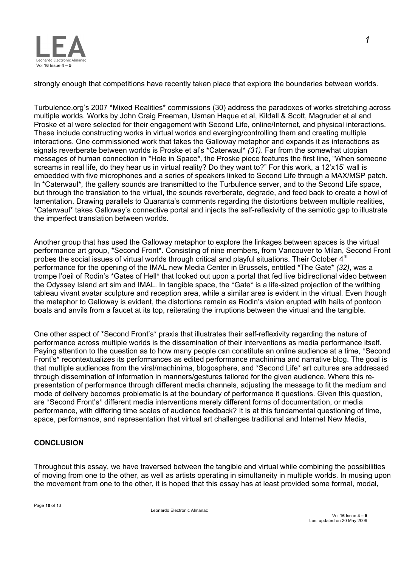

strongly enough that competitions have recently taken place that explore the boundaries between worlds.

Turbulence.org's 2007 \*Mixed Realities\* commissions (30) address the paradoxes of works stretching across multiple worlds. Works by John Craig Freeman, Usman Haque et al, Kildall & Scott, Magruder et al and Proske et al were selected for their engagement with Second Life, online/Internet, and physical interactions. These include constructing works in virtual worlds and everging/controlling them and creating multiple interactions. One commissioned work that takes the Galloway metaphor and expands it as interactions as signals reverberate between worlds is Proske et al's \*Caterwaul\* *(31)*. Far from the somewhat utopian messages of human connection in \*Hole in Space\**,* the Proske piece features the first line, "When someone screams in real life, do they hear us in virtual reality? Do they want to?" For this work, a 12'x15' wall is embedded with five microphones and a series of speakers linked to Second Life through a MAX/MSP patch. In \*Caterwaul\**,* the gallery sounds are transmitted to the Turbulence server, and to the Second Life space, but through the translation to the virtual, the sounds reverberate, degrade, and feed back to create a howl of lamentation. Drawing parallels to Quaranta's comments regarding the distortions between multiple realities, \*Caterwaul\* takes Galloway's connective portal and injects the self-reflexivity of the semiotic gap to illustrate the imperfect translation between worlds.

Another group that has used the Galloway metaphor to explore the linkages between spaces is the virtual performance art group, \*Second Front\*. Consisting of nine members, from Vancouver to Milan, Second Front probes the social issues of virtual worlds through critical and playful situations. Their October 4<sup>th</sup> performance for the opening of the IMAL new Media Center in Brussels, entitled \*The Gate\* *(32)*, was a trompe l'oeil of Rodin's \*Gates of Hell\* that looked out upon a portal that fed live bidirectional video between the Odyssey Island art sim and IMAL. In tangible space, the \*Gate\* is a life-sized projection of the writhing tableau vivant avatar sculpture and reception area, while a similar area is evident in the virtual. Even though the metaphor to Galloway is evident, the distortions remain as Rodin's vision erupted with hails of pontoon boats and anvils from a faucet at its top, reiterating the irruptions between the virtual and the tangible.

One other aspect of \*Second Front's\* praxis that illustrates their self-reflexivity regarding the nature of performance across multiple worlds is the dissemination of their interventions as media performance itself. Paying attention to the question as to how many people can constitute an online audience at a time, \*Second Front's\* recontextualizes its performances as edited performance machinima and narrative blog. The goal is that multiple audiences from the viral/machinima, blogosphere, and \*Second Life\* art cultures are addressed through dissemination of information in manners/gestures tailored for the given audience. Where this representation of performance through different media channels, adjusting the message to fit the medium and mode of delivery becomes problematic is at the boundary of performance it questions. Given this question, are \*Second Front's\* different media interventions merely different forms of documentation, or media performance, with differing time scales of audience feedback? It is at this fundamental questioning of time, space, performance, and representation that virtual art challenges traditional and Internet New Media,

## **CONCLUSION**

Throughout this essay, we have traversed between the tangible and virtual while combining the possibilities of moving from one to the other, as well as artists operating in simultaneity in multiple worlds. In musing upon the movement from one to the other, it is hoped that this essay has at least provided some formal, modal,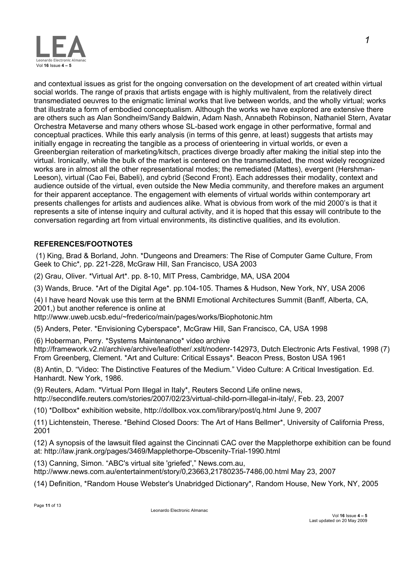

and contextual issues as grist for the ongoing conversation on the development of art created within virtual social worlds. The range of praxis that artists engage with is highly multivalent, from the relatively direct transmediated oeuvres to the enigmatic liminal works that live between worlds, and the wholly virtual; works that illustrate a form of embodied conceptualism. Although the works we have explored are extensive there are others such as Alan Sondheim/Sandy Baldwin, Adam Nash, Annabeth Robinson, Nathaniel Stern, Avatar Orchestra Metaverse and many others whose SL-based work engage in other performative, formal and conceptual practices. While this early analysis (in terms of this genre, at least) suggests that artists may initially engage in recreating the tangible as a process of orienteering in virtual worlds, or even a Greenbergian reiteration of marketing/kitsch, practices diverge broadly after making the initial step into the virtual. Ironically, while the bulk of the market is centered on the transmediated, the most widely recognized works are in almost all the other representational modes; the remediated (Mattes), evergent (Hershman-Leeson), virtual (Cao Fei, Babeli), and cybrid (Second Front). Each addresses their modality, context and audience outside of the virtual, even outside the New Media community, and therefore makes an argument for their apparent acceptance. The engagement with elements of virtual worlds within contemporary art presents challenges for artists and audiences alike. What is obvious from work of the mid 2000's is that it represents a site of intense inquiry and cultural activity, and it is hoped that this essay will contribute to the conversation regarding art from virtual environments, its distinctive qualities, and its evolution.

## **REFERENCES/FOOTNOTES**

 (1) King, Brad & Borland, John. \*Dungeons and Dreamers: The Rise of Computer Game Culture, From Geek to Chic\**,* pp. 221-228, McGraw Hill, San Francisco, USA 2003

(2) Grau, Oliver. \*Virtual Art\*. pp. 8-10, MIT Press, Cambridge, MA, USA 2004

(3) Wands, Bruce. \*Art of the Digital Age\**.* pp.104-105. Thames & Hudson, New York, NY, USA 2006

(4) I have heard Novak use this term at the BNMI Emotional Architectures Summit (Banff, Alberta, CA, 2001,) but another reference is online at

http://www.uweb.ucsb.edu/~frederico/main/pages/works/Biophotonic.htm

(5) Anders, Peter. \*Envisioning Cyberspace\**,* McGraw Hill, San Francisco, CA, USA 1998

(6) Hoberman, Perry. \*Systems Maintenance\* video archive

http://framework.v2.nl/archive/archive/leaf/other/.xslt/nodenr-142973, Dutch Electronic Arts Festival, 1998 (7) From Greenberg, Clement. \*Art and Culture: Critical Essays\**.* Beacon Press, Boston USA 1961

(8) Antin, D. "Video: The Distinctive Features of the Medium*.*" Video Culture: A Critical Investigation. Ed. Hanhardt. New York, 1986.

(9) Reuters, Adam. \*Virtual Porn Illegal in Italy\*, Reuters Second Life online news, http://secondlife.reuters.com/stories/2007/02/23/virtual-child-porn-illegal-in-italy/, Feb. 23, 2007

(10) \*Dollbox\* exhibition website, http://dollbox.vox.com/library/post/q.html June 9, 2007

(11) Lichtenstein, Therese. \*Behind Closed Doors: The Art of Hans Bellmer\*, University of California Press, 2001

(12) A synopsis of the lawsuit filed against the Cincinnati CAC over the Mapplethorpe exhibition can be found at: http://law.jrank.org/pages/3469/Mapplethorpe-Obscenity-Trial-1990.html

(13) Canning, Simon. "ABC's virtual site 'griefed'," News.com.au, http://www.news.com.au/entertainment/story/0,23663,21780235-7486,00.html May 23, 2007

(14) Definition, \*Random House Webster's Unabridged Dictionary\*, Random House, New York, NY, 2005

*1*